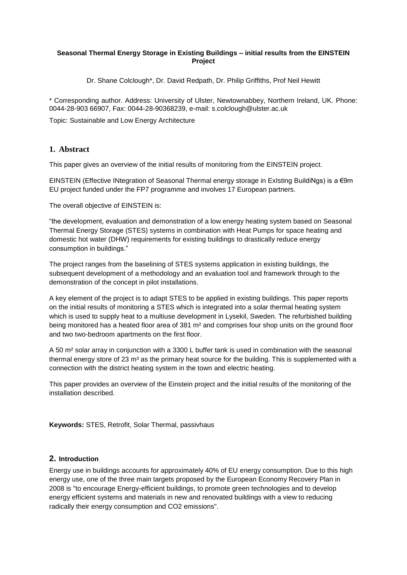### **Seasonal Thermal Energy Storage in Existing Buildings – initial results from the EINSTEIN Project**

Dr. Shane Colclough\*, Dr. David Redpath, Dr. Philip Griffiths, Prof Neil Hewitt

\* Corresponding author. Address: University of Ulster, Newtownabbey, Northern Ireland, UK. Phone: 0044-28-903 66907, Fax: 0044-28-90368239, e-mail: s.colclough@ulster.ac.uk

Topic: Sustainable and Low Energy Architecture

## **1. Abstract**

This paper gives an overview of the initial results of monitoring from the EINSTEIN project.

EINSTEIN (Effective INtegration of Seasonal Thermal energy storage in ExIsting BuildiNgs) is a €9m EU project funded under the FP7 programme and involves 17 European partners.

The overall objective of EINSTEIN is:

"the development, evaluation and demonstration of a low energy heating system based on Seasonal Thermal Energy Storage (STES) systems in combination with Heat Pumps for space heating and domestic hot water (DHW) requirements for existing buildings to drastically reduce energy consumption in buildings."

The project ranges from the baselining of STES systems application in existing buildings, the subsequent development of a methodology and an evaluation tool and framework through to the demonstration of the concept in pilot installations.

A key element of the project is to adapt STES to be applied in existing buildings. This paper reports on the initial results of monitoring a STES which is integrated into a solar thermal heating system which is used to supply heat to a multiuse development in Lysekil, Sweden. The refurbished building being monitored has a heated floor area of 381 m<sup>2</sup> and comprises four shop units on the ground floor and two two-bedroom apartments on the first floor.

A 50 m² solar array in conjunction with a 3300 L buffer tank is used in combination with the seasonal thermal energy store of 23  $m<sup>3</sup>$  as the primary heat source for the building. This is supplemented with a connection with the district heating system in the town and electric heating.

This paper provides an overview of the Einstein project and the initial results of the monitoring of the installation described.

**Keywords:** STES, Retrofit, Solar Thermal, passivhaus

#### **2. Introduction**

Energy use in buildings accounts for approximately 40% of EU energy consumption. Due to this high energy use, one of the three main targets proposed by the European Economy Recovery Plan in 2008 is "to encourage Energy-efficient buildings, to promote green technologies and to develop energy efficient systems and materials in new and renovated buildings with a view to reducing radically their energy consumption and CO2 emissions".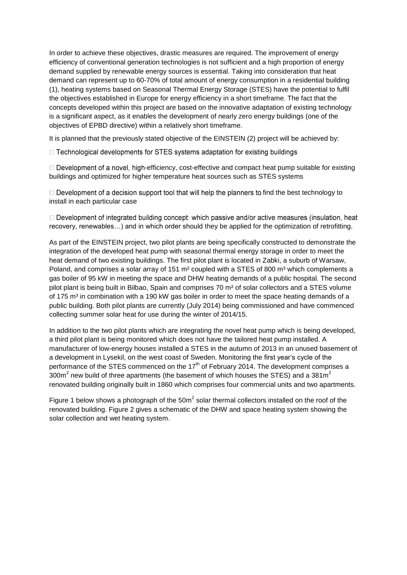In order to achieve these objectives, drastic measures are required. The improvement of energy efficiency of conventional generation technologies is not sufficient and a high proportion of energy demand supplied by renewable energy sources is essential. Taking into consideration that heat demand can represent up to 60-70% of total amount of energy consumption in a residential building (1), heating systems based on Seasonal Thermal Energy Storage (STES) have the potential to fulfil the objectives established in Europe for energy efficiency in a short timeframe. The fact that the concepts developed within this project are based on the innovative adaptation of existing technology is a significant aspect, as it enables the development of nearly zero energy buildings (one of the objectives of EPBD directive) within a relatively short timeframe.

It is planned that the previously stated objective of the EINSTEIN (2) project will be achieved by:

□ Technological developments for STES systems adaptation for existing buildings

 $\Box$  Development of a novel, high-efficiency, cost-effective and compact heat pump suitable for existing buildings and optimized for higher temperature heat sources such as STES systems

 $\Box$  Development of a decision support tool that will help the planners to find the best technology to install in each particular case

 $\Box$  Development of integrated building concept: which passive and/or active measures (insulation, heat recovery, renewables…) and in which order should they be applied for the optimization of retrofitting.

As part of the EINSTEIN project, two pilot plants are being specifically constructed to demonstrate the integration of the developed heat pump with seasonal thermal energy storage in order to meet the heat demand of two existing buildings. The first pilot plant is located in Zabki, a suburb of Warsaw, Poland, and comprises a solar array of 151  $m<sup>2</sup>$  coupled with a STES of 800  $m<sup>3</sup>$  which complements a gas boiler of 95 kW in meeting the space and DHW heating demands of a public hospital. The second pilot plant is being built in Bilbao, Spain and comprises 70 m² of solar collectors and a STES volume of 175 m<sup>3</sup> in combination with a 190 kW gas boiler in order to meet the space heating demands of a public building. Both pilot plants are currently (July 2014) being commissioned and have commenced collecting summer solar heat for use during the winter of 2014/15.

In addition to the two pilot plants which are integrating the novel heat pump which is being developed, a third pilot plant is being monitored which does not have the tailored heat pump installed. A manufacturer of low-energy houses installed a STES in the autumn of 2013 in an unused basement of a development in Lysekil, on the west coast of Sweden. Monitoring the first year's cycle of the performance of the STES commenced on the 17<sup>th</sup> of February 2014. The development comprises a 300m<sup>2</sup> new build of three apartments (the basement of which houses the STES) and a 381m<sup>2</sup> renovated building originally built in 1860 which comprises four commercial units and two apartments.

Figure 1 below shows a photograph of the  $50m^2$  solar thermal collectors installed on the roof of the renovated building. Figure 2 gives a schematic of the DHW and space heating system showing the solar collection and wet heating system.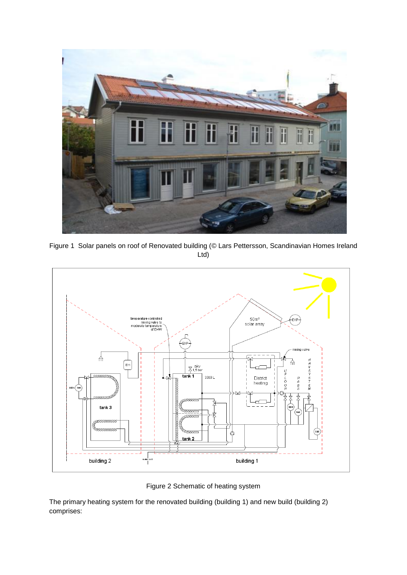

Figure 1 Solar panels on roof of Renovated building (© Lars Pettersson, Scandinavian Homes Ireland Ltd)



Figure 2 Schematic of heating system

The primary heating system for the renovated building (building 1) and new build (building 2) comprises: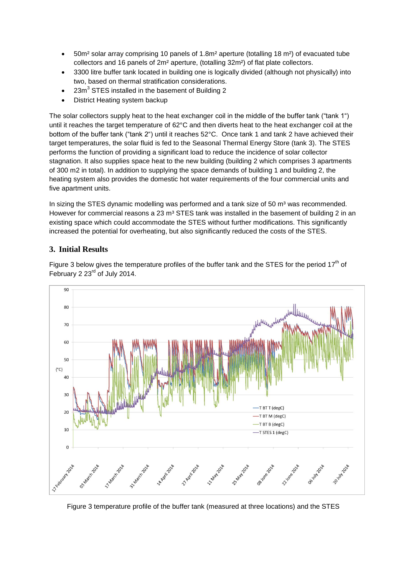- 50m² solar array comprising 10 panels of 1.8m² aperture (totalling 18 m²) of evacuated tube collectors and 16 panels of 2m² aperture, (totalling 32m²) of flat plate collectors.
- 3300 litre buffer tank located in building one is logically divided (although not physically) into two, based on thermal stratification considerations.
- $\bullet$  23m<sup>3</sup> STES installed in the basement of Building 2
- District Heating system backup

The solar collectors supply heat to the heat exchanger coil in the middle of the buffer tank ("tank 1") until it reaches the target temperature of 62°C and then diverts heat to the heat exchanger coil at the bottom of the buffer tank ("tank 2") until it reaches 52°C. Once tank 1 and tank 2 have achieved their target temperatures, the solar fluid is fed to the Seasonal Thermal Energy Store (tank 3). The STES performs the function of providing a significant load to reduce the incidence of solar collector stagnation. It also supplies space heat to the new building (building 2 which comprises 3 apartments of 300 m2 in total). In addition to supplying the space demands of building 1 and building 2, the heating system also provides the domestic hot water requirements of the four commercial units and five apartment units.

In sizing the STES dynamic modelling was performed and a tank size of 50  $m<sup>3</sup>$  was recommended. However for commercial reasons a 23  $m<sup>3</sup>$  STES tank was installed in the basement of building 2 in an existing space which could accommodate the STES without further modifications. This significantly increased the potential for overheating, but also significantly reduced the costs of the STES.

## **3. Initial Results**



Figure 3 below gives the temperature profiles of the buffer tank and the STES for the period 17<sup>th</sup> of February 2 23<sup>rd</sup> of July 2014.

Figure 3 temperature profile of the buffer tank (measured at three locations) and the STES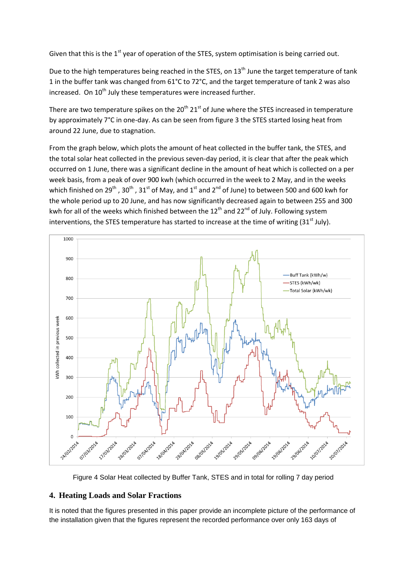Given that this is the  $1^{st}$  year of operation of the STES, system optimisation is being carried out.

Due to the high temperatures being reached in the STES, on 13<sup>th</sup> June the target temperature of tank 1 in the buffer tank was changed from 61°C to 72°C, and the target temperature of tank 2 was also increased. On 10<sup>th</sup> July these temperatures were increased further.

There are two temperature spikes on the  $20^{th}$   $21^{st}$  of June where the STES increased in temperature by approximately 7°C in one-day. As can be seen from figure 3 the STES started losing heat from around 22 June, due to stagnation.

From the graph below, which plots the amount of heat collected in the buffer tank, the STES, and the total solar heat collected in the previous seven-day period, it is clear that after the peak which occurred on 1 June, there was a significant decline in the amount of heat which is collected on a per week basis, from a peak of over 900 kwh (which occurred in the week to 2 May, and in the weeks which finished on 29<sup>th</sup>, 30<sup>th</sup>, 31<sup>st</sup> of May, and 1<sup>st</sup> and 2<sup>nd</sup> of June) to between 500 and 600 kwh for the whole period up to 20 June, and has now significantly decreased again to between 255 and 300 kwh for all of the weeks which finished between the 12<sup>th</sup> and 22<sup>nd</sup> of July. Following system interventions, the STES temperature has started to increase at the time of writing  $(31<sup>st</sup>$  July).



Figure 4 Solar Heat collected by Buffer Tank, STES and in total for rolling 7 day period

# **4. Heating Loads and Solar Fractions**

It is noted that the figures presented in this paper provide an incomplete picture of the performance of the installation given that the figures represent the recorded performance over only 163 days of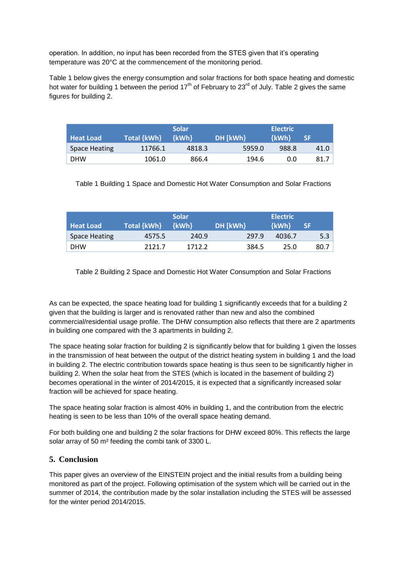operation. In addition, no input has been recorded from the STES given that it's operating temperature was 20°C at the commencement of the monitoring period.

Table 1 below gives the energy consumption and solar fractions for both space heating and domestic hot water for building 1 between the period  $17<sup>th</sup>$  of February to  $23<sup>rd</sup>$  of July. Table 2 gives the same figures for building 2.

| <b>Heat Load</b>     | Total {kWh} | <b>Solar</b><br>{kWh} | DH [kWh} | <b>Electric</b><br>{kWh} | SF.  |
|----------------------|-------------|-----------------------|----------|--------------------------|------|
| <b>Space Heating</b> | 11766.1     | 4818.3                | 5959.0   | 988.8                    | 41.0 |
| <b>DHW</b>           | 1061.0      | 866.4                 | 194.6    | 0.0                      | 81.7 |

Table 1 Building 1 Space and Domestic Hot Water Consumption and Solar Fractions

| <b>Heat Load</b>     | Total {kWh} | <b>Solar</b><br>$\{kWh\}$ | DH [kWh} | <b>Electric</b><br><b>{kWh}</b> | <b>SF</b> |
|----------------------|-------------|---------------------------|----------|---------------------------------|-----------|
| <b>Space Heating</b> | 4575.5      | 240.9                     | 297.9    | 4036.7                          | 5.3       |
| <b>DHW</b>           | 2121.7      | 1712.2                    | 384.5    | 25.0                            | 80.7      |

Table 2 Building 2 Space and Domestic Hot Water Consumption and Solar Fractions

As can be expected, the space heating load for building 1 significantly exceeds that for a building 2 given that the building is larger and is renovated rather than new and also the combined commercial/residential usage profile. The DHW consumption also reflects that there are 2 apartments in building one compared with the 3 apartments in building 2.

The space heating solar fraction for building 2 is significantly below that for building 1 given the losses in the transmission of heat between the output of the district heating system in building 1 and the load in building 2. The electric contribution towards space heating is thus seen to be significantly higher in building 2. When the solar heat from the STES (which is located in the basement of building 2) becomes operational in the winter of 2014/2015, it is expected that a significantly increased solar fraction will be achieved for space heating.

The space heating solar fraction is almost 40% in building 1, and the contribution from the electric heating is seen to be less than 10% of the overall space heating demand.

For both building one and building 2 the solar fractions for DHW exceed 80%. This reflects the large solar array of 50 m² feeding the combi tank of 3300 L.

## **5. Conclusion**

This paper gives an overview of the EINSTEIN project and the initial results from a building being monitored as part of the project. Following optimisation of the system which will be carried out in the summer of 2014, the contribution made by the solar installation including the STES will be assessed for the winter period 2014/2015.